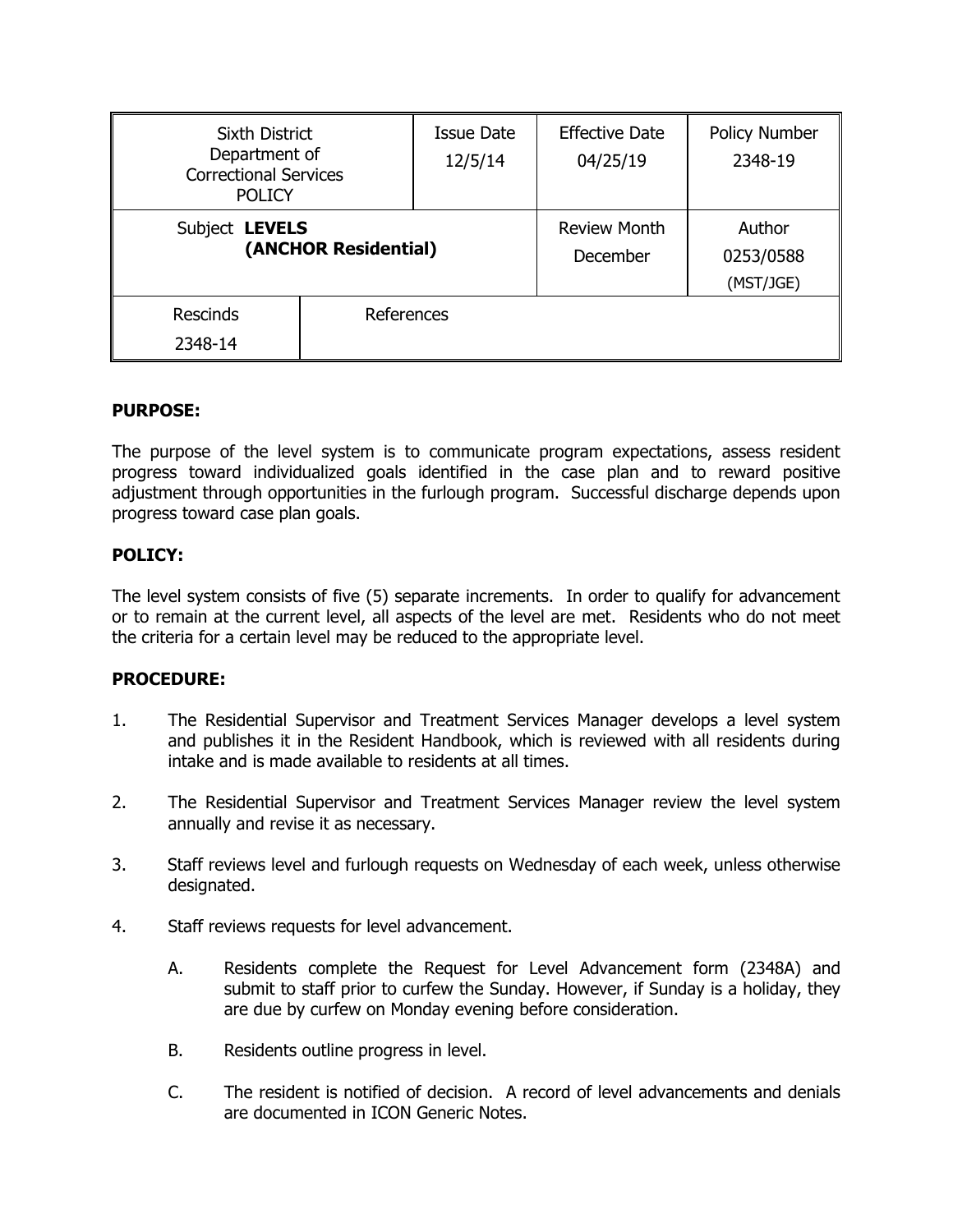| <b>Sixth District</b><br>Department of<br><b>Correctional Services</b><br><b>POLICY</b> |            | <b>Issue Date</b><br>12/5/14 | <b>Effective Date</b><br>04/25/19 | Policy Number<br>2348-19         |
|-----------------------------------------------------------------------------------------|------------|------------------------------|-----------------------------------|----------------------------------|
| Subject LEVELS<br>(ANCHOR Residential)                                                  |            |                              | <b>Review Month</b><br>December   | Author<br>0253/0588<br>(MST/JGE) |
| <b>Rescinds</b><br>2348-14                                                              | References |                              |                                   |                                  |

## **PURPOSE:**

The purpose of the level system is to communicate program expectations, assess resident progress toward individualized goals identified in the case plan and to reward positive adjustment through opportunities in the furlough program. Successful discharge depends upon progress toward case plan goals.

### **POLICY:**

The level system consists of five (5) separate increments. In order to qualify for advancement or to remain at the current level, all aspects of the level are met. Residents who do not meet the criteria for a certain level may be reduced to the appropriate level.

### **PROCEDURE:**

- 1. The Residential Supervisor and Treatment Services Manager develops a level system and publishes it in the Resident Handbook, which is reviewed with all residents during intake and is made available to residents at all times.
- 2. The Residential Supervisor and Treatment Services Manager review the level system annually and revise it as necessary.
- 3. Staff reviews level and furlough requests on Wednesday of each week, unless otherwise designated.
- 4. Staff reviews requests for level advancement.
	- A. Residents complete the Request for Level Advancement form (2348A) and submit to staff prior to curfew the Sunday. However, if Sunday is a holiday, they are due by curfew on Monday evening before consideration.
	- B. Residents outline progress in level.
	- C. The resident is notified of decision. A record of level advancements and denials are documented in ICON Generic Notes.